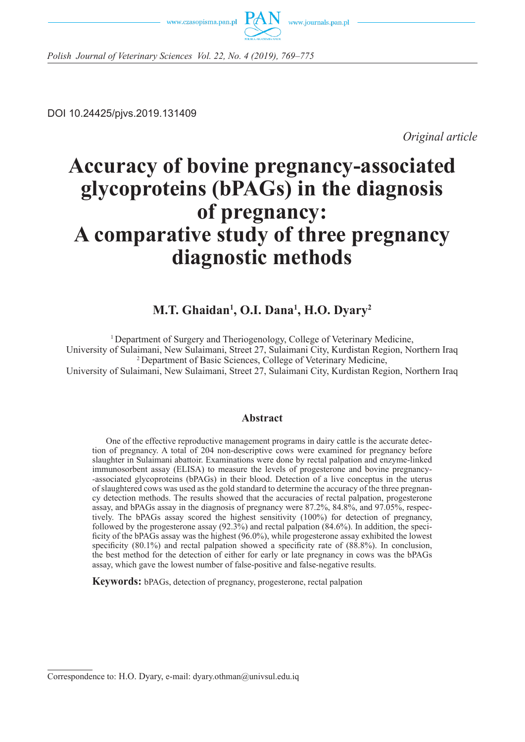



*Polish Journal of Veterinary Sciences Vol. 22, No. 4 (2019), 769–775*

DOI 10.24425/pjvs.2019.131409

*Original article*

# **Accuracy of bovine pregnancy-associated glycoproteins (bPAGs) in the diagnosis of pregnancy: A comparative study of three pregnancy diagnostic methods**

# **M.T. Ghaidan1 , O.I. Dana1 , H.O. Dyary2**

<sup>1</sup> Department of Surgery and Theriogenology, College of Veterinary Medicine, University of Sulaimani, New Sulaimani, Street 27, Sulaimani City, Kurdistan Region, Northern Iraq 2 Department of Basic Sciences, College of Veterinary Medicine, University of Sulaimani, New Sulaimani, Street 27, Sulaimani City, Kurdistan Region, Northern Iraq

# **Abstract**

One of the effective reproductive management programs in dairy cattle is the accurate detection of pregnancy. A total of 204 non-descriptive cows were examined for pregnancy before slaughter in Sulaimani abattoir. Examinations were done by rectal palpation and enzyme-linked immunosorbent assay (ELISA) to measure the levels of progesterone and bovine pregnancy- -associated glycoproteins (bPAGs) in their blood. Detection of a live conceptus in the uterus of slaughtered cows was used as the gold standard to determine the accuracy of the three pregnancy detection methods. The results showed that the accuracies of rectal palpation, progesterone assay, and bPAGs assay in the diagnosis of pregnancy were 87.2%, 84.8%, and 97.05%, respectively. The bPAGs assay scored the highest sensitivity (100%) for detection of pregnancy, followed by the progesterone assay (92.3%) and rectal palpation (84.6%). In addition, the specificity of the bPAGs assay was the highest (96.0%), while progesterone assay exhibited the lowest specificity (80.1%) and rectal palpation showed a specificity rate of (88.8%). In conclusion, the best method for the detection of either for early or late pregnancy in cows was the bPAGs assay, which gave the lowest number of false-positive and false-negative results.

**Keywords:** bPAGs, detection of pregnancy, progesterone, rectal palpation

Correspondence to: H.O. Dyary, e-mail: dyary.othman@univsul.edu.iq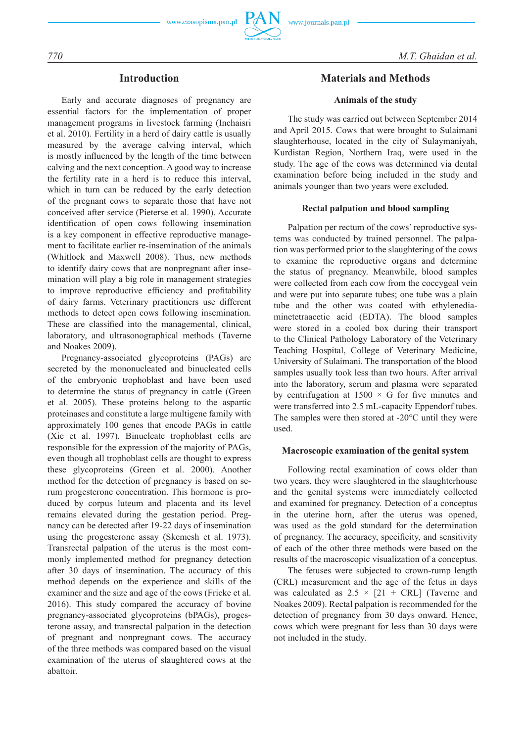### **Introduction**

Early and accurate diagnoses of pregnancy are essential factors for the implementation of proper management programs in livestock farming (Inchaisri et al. 2010). Fertility in a herd of dairy cattle is usually measured by the average calving interval, which is mostly influenced by the length of the time between calving and the next conception. A good way to increase the fertility rate in a herd is to reduce this interval, which in turn can be reduced by the early detection of the pregnant cows to separate those that have not conceived after service (Pieterse et al. 1990). Accurate identification of open cows following insemination is a key component in effective reproductive management to facilitate earlier re-insemination of the animals (Whitlock and Maxwell 2008). Thus, new methods to identify dairy cows that are nonpregnant after insemination will play a big role in management strategies to improve reproductive efficiency and profitability of dairy farms. Veterinary practitioners use different methods to detect open cows following insemination. These are classified into the managemental, clinical, laboratory, and ultrasonographical methods (Taverne and Noakes 2009).

Pregnancy-associated glycoproteins (PAGs) are secreted by the mononucleated and binucleated cells of the embryonic trophoblast and have been used to determine the status of pregnancy in cattle (Green et al. 2005). These proteins belong to the aspartic proteinases and constitute a large multigene family with approximately 100 genes that encode PAGs in cattle (Xie et al. 1997). Binucleate trophoblast cells are responsible for the expression of the majority of PAGs, even though all trophoblast cells are thought to express these glycoproteins (Green et al. 2000). Another method for the detection of pregnancy is based on serum progesterone concentration. This hormone is produced by corpus luteum and placenta and its level remains elevated during the gestation period. Pregnancy can be detected after 19-22 days of insemination using the progesterone assay (Skemesh et al. 1973). Transrectal palpation of the uterus is the most commonly implemented method for pregnancy detection after 30 days of insemination. The accuracy of this method depends on the experience and skills of the examiner and the size and age of the cows (Fricke et al. 2016). This study compared the accuracy of bovine pregnancy-associated glycoproteins (bPAGs), progesterone assay, and transrectal palpation in the detection of pregnant and nonpregnant cows. The accuracy of the three methods was compared based on the visual examination of the uterus of slaughtered cows at the abattoir.

## **Materials and Methods**

#### **Animals of the study**

The study was carried out between September 2014 and April 2015. Cows that were brought to Sulaimani slaughterhouse, located in the city of Sulaymaniyah, Kurdistan Region, Northern Iraq, were used in the study. The age of the cows was determined via dental examination before being included in the study and animals younger than two years were excluded.

#### **Rectal palpation and blood sampling**

Palpation per rectum of the cows' reproductive systems was conducted by trained personnel. The palpation was performed prior to the slaughtering of the cows to examine the reproductive organs and determine the status of pregnancy. Meanwhile, blood samples were collected from each cow from the coccygeal vein and were put into separate tubes; one tube was a plain tube and the other was coated with ethylenediaminetetraacetic acid (EDTA). The blood samples were stored in a cooled box during their transport to the Clinical Pathology Laboratory of the Veterinary Teaching Hospital, College of Veterinary Medicine, University of Sulaimani. The transportation of the blood samples usually took less than two hours. After arrival into the laboratory, serum and plasma were separated by centrifugation at  $1500 \times G$  for five minutes and were transferred into 2.5 mL-capacity Eppendorf tubes. The samples were then stored at -20°C until they were used.

#### **Macroscopic examination of the genital system**

Following rectal examination of cows older than two years, they were slaughtered in the slaughterhouse and the genital systems were immediately collected and examined for pregnancy. Detection of a conceptus in the uterine horn, after the uterus was opened, was used as the gold standard for the determination of pregnancy. The accuracy, specificity, and sensitivity of each of the other three methods were based on the results of the macroscopic visualization of a conceptus.

The fetuses were subjected to crown-rump length (CRL) measurement and the age of the fetus in days was calculated as  $2.5 \times [21 + CRL]$  (Taverne and Noakes 2009). Rectal palpation is recommended for the detection of pregnancy from 30 days onward. Hence, cows which were pregnant for less than 30 days were not included in the study.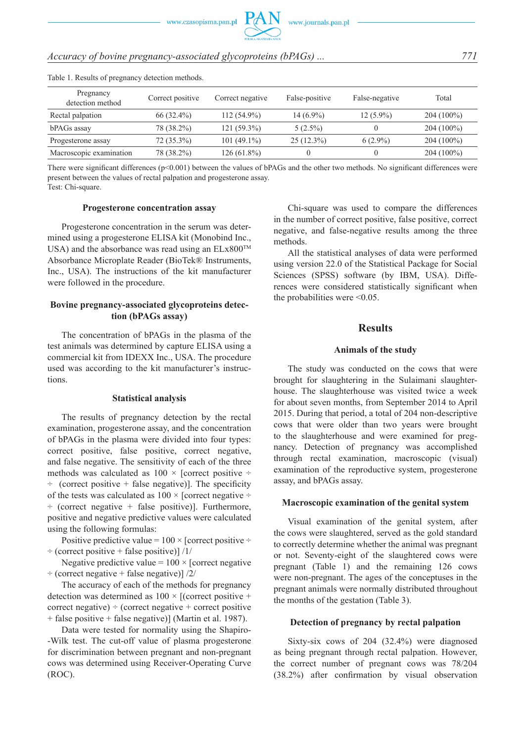# *Accuracy of bovine pregnancy-associated glycoproteins (bPAGs) ... 771*

| Pregnancy<br>detection method | Correct positive | Correct negative | False-positive | False-negative | Total        |  |  |
|-------------------------------|------------------|------------------|----------------|----------------|--------------|--|--|
| Rectal palpation              | $66(32.4\%)$     | $112(54.9\%)$    | $14(6.9\%)$    | $12(5.9\%)$    | $204(100\%)$ |  |  |
| bPAGs assay                   | 78 (38.2%)       | 121 (59.3%)      | $5(2.5\%)$     |                | $204(100\%)$ |  |  |
| Progesterone assay            | $72(35.3\%)$     | $101(49.1\%)$    | $25(12.3\%)$   | $6(2.9\%)$     | $204(100\%)$ |  |  |
| Macroscopic examination       | 78 (38.2%)       | 126 (61.8%)      |                |                | $204(100\%)$ |  |  |

Table 1. Results of pregnancy detection methods.

There were significant differences (p<0.001) between the values of bPAGs and the other two methods. No significant differences were present between the values of rectal palpation and progesterone assay. Test: Chi-square.

#### **Progesterone concentration assay**

Progesterone concentration in the serum was determined using a progesterone ELISA kit (Monobind Inc., USA) and the absorbance was read using an  $ELx800^{TM}$ Absorbance Microplate Reader (BioTek® Instruments, Inc., USA). The instructions of the kit manufacturer were followed in the procedure.

#### **Bovine pregnancy-associated glycoproteins detection (bPAGs assay)**

The concentration of bPAGs in the plasma of the test animals was determined by capture ELISA using a commercial kit from IDEXX Inc., USA. The procedure used was according to the kit manufacturer's instructions.

#### **Statistical analysis**

The results of pregnancy detection by the rectal examination, progesterone assay, and the concentration of bPAGs in the plasma were divided into four types: correct positive, false positive, correct negative, and false negative. The sensitivity of each of the three methods was calculated as  $100 \times$  [correct positive  $\div$  $\div$  (correct positive + false negative)]. The specificity of the tests was calculated as  $100 \times$  [correct negative  $\div$  $\div$  (correct negative + false positive)]. Furthermore, positive and negative predictive values were calculated using the following formulas:

Positive predictive value =  $100 \times$  [correct positive ÷  $\div$  (correct positive + false positive)] /1/

Negative predictive value =  $100 \times$  [correct negative  $\div$  (correct negative + false negative)]  $/2/$ 

The accuracy of each of the methods for pregnancy detection was determined as  $100 \times$  [(correct positive + correct negative)  $\div$  (correct negative  $+$  correct positive + false positive + false negative)] (Martin et al. 1987).

Data were tested for normality using the Shapiro- -Wilk test. The cut-off value of plasma progesterone for discrimination between pregnant and non-pregnant cows was determined using Receiver-Operating Curve (ROC).

Chi-square was used to compare the differences in the number of correct positive, false positive, correct negative, and false-negative results among the three methods.

All the statistical analyses of data were performed using version 22.0 of the Statistical Package for Social Sciences (SPSS) software (by IBM, USA). Differences were considered statistically significant when the probabilities were  $\leq 0.05$ .

#### **Results**

#### **Animals of the study**

The study was conducted on the cows that were brought for slaughtering in the Sulaimani slaughterhouse. The slaughterhouse was visited twice a week for about seven months, from September 2014 to April 2015. During that period, a total of 204 non-descriptive cows that were older than two years were brought to the slaughterhouse and were examined for pregnancy. Detection of pregnancy was accomplished through rectal examination, macroscopic (visual) examination of the reproductive system, progesterone assay, and bPAGs assay.

#### **Macroscopic examination of the genital system**

Visual examination of the genital system, after the cows were slaughtered, served as the gold standard to correctly determine whether the animal was pregnant or not. Seventy-eight of the slaughtered cows were pregnant (Table 1) and the remaining 126 cows were non-pregnant. The ages of the conceptuses in the pregnant animals were normally distributed throughout the months of the gestation (Table 3).

#### **Detection of pregnancy by rectal palpation**

Sixty-six cows of 204 (32.4%) were diagnosed as being pregnant through rectal palpation. However, the correct number of pregnant cows was 78/204 (38.2%) after confirmation by visual observation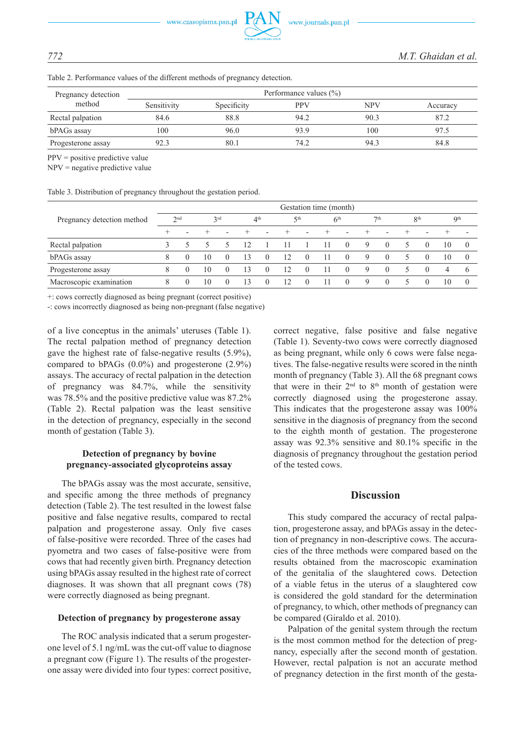Table 2. Performance values of the different methods of pregnancy detection.

| Pregnancy detection<br>method | Performance values $(\% )$ |             |            |            |          |  |  |  |  |  |
|-------------------------------|----------------------------|-------------|------------|------------|----------|--|--|--|--|--|
|                               | Sensitivity                | Specificity | <b>PPV</b> | <b>NPV</b> | Accuracy |  |  |  |  |  |
| Rectal palpation              | 84.6                       | 88.8        | 94.2       | 90.3       | 87.2     |  |  |  |  |  |
| bPAGs assay                   | 100                        | 96.0        | 93.9       | 100        | 97.5     |  |  |  |  |  |
| Progesterone assay            | 92.3                       | 80.1        | 74.2       | 94.3       | 84.8     |  |  |  |  |  |

PPV = positive predictive value

NPV = negative predictive value

Table 3. Distribution of pregnancy throughout the gestation period.

|                            | Gestation time (month) |                          |     |                          |                 |                          |            |                          |                          |          |                 |          |                 |          |     |          |
|----------------------------|------------------------|--------------------------|-----|--------------------------|-----------------|--------------------------|------------|--------------------------|--------------------------|----------|-----------------|----------|-----------------|----------|-----|----------|
| Pregnancy detection method | 2 <sup>nd</sup>        |                          | 2rd |                          | 4 <sup>th</sup> |                          | $\zeta$ th |                          | 6 <sup>th</sup>          |          | 7 <sup>th</sup> |          | 8 <sup>th</sup> |          | Qth |          |
|                            | $^{+}$                 | $\overline{\phantom{a}}$ |     | $\overline{\phantom{0}}$ | $\div$          | $\overline{\phantom{a}}$ | $\div$     | $\overline{\phantom{a}}$ | $\overline{\phantom{0}}$ |          |                 |          | +               |          |     |          |
| Rectal palpation           |                        |                          |     |                          |                 |                          |            |                          | -11                      | $\theta$ | 9               | $\theta$ |                 | $\theta$ | 10  |          |
| bPAGs assay                |                        | $\theta$                 | 10  | $\theta$                 |                 | $\theta$                 | 12         | $\theta$                 |                          | $\theta$ | 9               | $\Omega$ |                 | $\theta$ | 10  |          |
| Progesterone assay         |                        | $\left( \right)$         | 10  | $\theta$                 | 13              | $\theta$                 | 12         | $\theta$                 | 11                       | $\theta$ | 9               | $\Omega$ |                 | $\theta$ | 4   | $\theta$ |
| Macroscopic examination    | 8                      | $\Omega$                 | 10  | $\theta$                 | 13              | $\theta$                 | 12         | $\theta$                 | -11                      | $\theta$ | 9               | $\theta$ |                 | $\theta$ | 10  |          |

+: cows correctly diagnosed as being pregnant (correct positive)

-: cows incorrectly diagnosed as being non-pregnant (false negative)

of a live conceptus in the animals' uteruses (Table 1). The rectal palpation method of pregnancy detection gave the highest rate of false-negative results (5.9%), compared to bPAGs (0.0%) and progesterone (2.9%) assays. The accuracy of rectal palpation in the detection of pregnancy was 84.7%, while the sensitivity was 78.5% and the positive predictive value was 87.2% (Table 2). Rectal palpation was the least sensitive in the detection of pregnancy, especially in the second month of gestation (Table 3).

### **Detection of pregnancy by bovine pregnancy-associated glycoproteins assay**

The bPAGs assay was the most accurate, sensitive, and specific among the three methods of pregnancy detection (Table 2). The test resulted in the lowest false positive and false negative results, compared to rectal palpation and progesterone assay. Only five cases of false-positive were recorded. Three of the cases had pyometra and two cases of false-positive were from cows that had recently given birth. Pregnancy detection using bPAGs assay resulted in the highest rate of correct diagnoses. It was shown that all pregnant cows (78) were correctly diagnosed as being pregnant.

#### **Detection of pregnancy by progesterone assay**

The ROC analysis indicated that a serum progesterone level of 5.1 ng/mL was the cut-off value to diagnose a pregnant cow (Figure 1). The results of the progesterone assay were divided into four types: correct positive, correct negative, false positive and false negative (Table 1). Seventy-two cows were correctly diagnosed as being pregnant, while only 6 cows were false negatives. The false-negative results were scored in the ninth month of pregnancy (Table 3). All the 68 pregnant cows that were in their  $2<sup>nd</sup>$  to  $8<sup>th</sup>$  month of gestation were correctly diagnosed using the progesterone assay. This indicates that the progesterone assay was 100% sensitive in the diagnosis of pregnancy from the second to the eighth month of gestation. The progesterone assay was 92.3% sensitive and 80.1% specific in the diagnosis of pregnancy throughout the gestation period of the tested cows.

#### **Discussion**

This study compared the accuracy of rectal palpation, progesterone assay, and bPAGs assay in the detection of pregnancy in non-descriptive cows. The accuracies of the three methods were compared based on the results obtained from the macroscopic examination of the genitalia of the slaughtered cows. Detection of a viable fetus in the uterus of a slaughtered cow is considered the gold standard for the determination of pregnancy, to which, other methods of pregnancy can be compared (Giraldo et al. 2010).

Palpation of the genital system through the rectum is the most common method for the detection of pregnancy, especially after the second month of gestation. However, rectal palpation is not an accurate method of pregnancy detection in the first month of the gesta-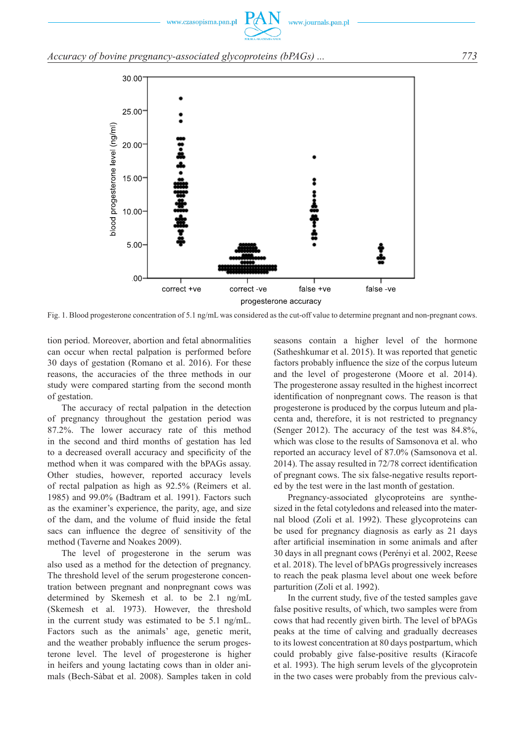# *Accuracy of bovine pregnancy-associated glycoproteins (bPAGs) ... 773*



Fig. 1. Blood progesterone concentration of 5.1 ng/mL was considered as the cut-off value to determine pregnant and non-pregnant cows.

tion period. Moreover, abortion and fetal abnormalities can occur when rectal palpation is performed before 30 days of gestation (Romano et al. 2016). For these reasons, the accuracies of the three methods in our study were compared starting from the second month of gestation.

The accuracy of rectal palpation in the detection of pregnancy throughout the gestation period was 87.2%. The lower accuracy rate of this method in the second and third months of gestation has led to a decreased overall accuracy and specificity of the method when it was compared with the bPAGs assay. Other studies, however, reported accuracy levels of rectal palpation as high as 92.5% (Reimers et al. 1985) and 99.0% (Badtram et al. 1991). Factors such as the examiner's experience, the parity, age, and size of the dam, and the volume of fluid inside the fetal sacs can influence the degree of sensitivity of the method (Taverne and Noakes 2009).

The level of progesterone in the serum was also used as a method for the detection of pregnancy. The threshold level of the serum progesterone concentration between pregnant and nonpregnant cows was determined by Skemesh et al. to be 2.1 ng/mL (Skemesh et al. 1973). However, the threshold in the current study was estimated to be 5.1 ng/mL. Factors such as the animals' age, genetic merit, and the weather probably influence the serum progesterone level. The level of progesterone is higher in heifers and young lactating cows than in older animals (Bech-Sàbat et al. 2008). Samples taken in cold seasons contain a higher level of the hormone (Satheshkumar et al. 2015). It was reported that genetic factors probably influence the size of the corpus luteum and the level of progesterone (Moore et al. 2014). The progesterone assay resulted in the highest incorrect identification of nonpregnant cows. The reason is that progesterone is produced by the corpus luteum and placenta and, therefore, it is not restricted to pregnancy (Senger 2012). The accuracy of the test was 84.8%, which was close to the results of Samsonova et al. who reported an accuracy level of 87.0% (Samsonova et al. 2014). The assay resulted in 72/78 correct identification of pregnant cows. The six false-negative results reported by the test were in the last month of gestation.

Pregnancy-associated glycoproteins are synthesized in the fetal cotyledons and released into the maternal blood (Zoli et al. 1992). These glycoproteins can be used for pregnancy diagnosis as early as 21 days after artificial insemination in some animals and after 30 days in all pregnant cows (Perényi et al. 2002, Reese et al. 2018). The level of bPAGs progressively increases to reach the peak plasma level about one week before parturition (Zoli et al. 1992).

In the current study, five of the tested samples gave false positive results, of which, two samples were from cows that had recently given birth. The level of bPAGs peaks at the time of calving and gradually decreases to its lowest concentration at 80 days postpartum, which could probably give false-positive results (Kiracofe et al. 1993). The high serum levels of the glycoprotein in the two cases were probably from the previous calv-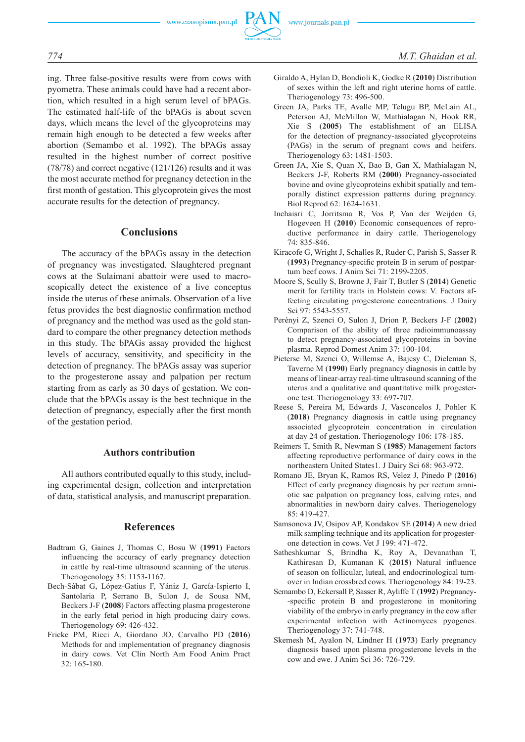

ing. Three false-positive results were from cows with pyometra. These animals could have had a recent abortion, which resulted in a high serum level of bPAGs. The estimated half-life of the bPAGs is about seven days, which means the level of the glycoproteins may remain high enough to be detected a few weeks after abortion (Semambo et al. 1992). The bPAGs assay resulted in the highest number of correct positive (78/78) and correct negative (121/126) results and it was the most accurate method for pregnancy detection in the first month of gestation. This glycoprotein gives the most accurate results for the detection of pregnancy.

## **Conclusions**

The accuracy of the bPAGs assay in the detection of pregnancy was investigated. Slaughtered pregnant cows at the Sulaimani abattoir were used to macroscopically detect the existence of a live conceptus inside the uterus of these animals. Observation of a live fetus provides the best diagnostic confirmation method of pregnancy and the method was used as the gold standard to compare the other pregnancy detection methods in this study. The bPAGs assay provided the highest levels of accuracy, sensitivity, and specificity in the detection of pregnancy. The bPAGs assay was superior to the progesterone assay and palpation per rectum starting from as early as 30 days of gestation. We conclude that the bPAGs assay is the best technique in the detection of pregnancy, especially after the first month of the gestation period.

#### **Authors contribution**

All authors contributed equally to this study, including experimental design, collection and interpretation of data, statistical analysis, and manuscript preparation.

#### **References**

- Badtram G, Gaines J, Thomas C, Bosu W (**1991**) Factors influencing the accuracy of early pregnancy detection in cattle by real-time ultrasound scanning of the uterus. Theriogenology 35: 1153-1167.
- Bech-Sàbat G, López-Gatius F, Yániz J, García-Ispierto I, Santolaria P, Serrano B, Sulon J, de Sousa NM, Beckers J-F (**2008**) Factors affecting plasma progesterone in the early fetal period in high producing dairy cows. Theriogenology 69: 426-432.
- Fricke PM, Ricci A, Giordano JO, Carvalho PD (**2016**) Methods for and implementation of pregnancy diagnosis in dairy cows. Vet Clin North Am Food Anim Pract 32: 165-180.
- Giraldo A, Hylan D, Bondioli K, Godke R (**2010**) Distribution of sexes within the left and right uterine horns of cattle. Theriogenology 73: 496-500.
- Green JA, Parks TE, Avalle MP, Telugu BP, McLain AL, Peterson AJ, McMillan W, Mathialagan N, Hook RR, Xie S (**2005**) The establishment of an ELISA for the detection of pregnancy-associated glycoproteins (PAGs) in the serum of pregnant cows and heifers. Theriogenology 63: 1481-1503.
- Green JA, Xie S, Quan X, Bao B, Gan X, Mathialagan N, Beckers J-F, Roberts RM (**2000**) Pregnancy-associated bovine and ovine glycoproteins exhibit spatially and temporally distinct expression patterns during pregnancy. Biol Reprod 62: 1624-1631.
- Inchaisri C, Jorritsma R, Vos P, Van der Weijden G, Hogeveen H (**2010**) Economic consequences of reproductive performance in dairy cattle. Theriogenology 74: 835-846.
- Kiracofe G, Wright J, Schalles R, Ruder C, Parish S, Sasser R (**1993**) Pregnancy-specific protein B in serum of postpartum beef cows. J Anim Sci 71: 2199-2205.
- Moore S, Scully S, Browne J, Fair T, Butler S (**2014**) Genetic merit for fertility traits in Holstein cows: V. Factors affecting circulating progesterone concentrations. J Dairy Sci 97: 5543-5557.
- Perényi Z, Szenci O, Sulon J, Drion P, Beckers J-F (**2002**) Comparison of the ability of three radioimmunoassay to detect pregnancy-associated glycoproteins in bovine plasma. Reprod Domest Anim 37: 100-104.
- Pieterse M, Szenci O, Willemse A, Bajcsy C, Dieleman S, Taverne M (**1990**) Early pregnancy diagnosis in cattle by means of linear-array real-time ultrasound scanning of the uterus and a qualitative and quantitative milk progesterone test. Theriogenology 33: 697-707.
- Reese S, Pereira M, Edwards J, Vasconcelos J, Pohler K (**2018**) Pregnancy diagnosis in cattle using pregnancy associated glycoprotein concentration in circulation at day 24 of gestation. Theriogenology 106: 178-185.
- Reimers T, Smith R, Newman S (**1985**) Management factors affecting reproductive performance of dairy cows in the northeastern United States1. J Dairy Sci 68: 963-972.
- Romano JE, Bryan K, Ramos RS, Velez J, Pinedo P (**2016**) Effect of early pregnancy diagnosis by per rectum amniotic sac palpation on pregnancy loss, calving rates, and abnormalities in newborn dairy calves. Theriogenology 85: 419-427.
- Samsonova JV, Osipov AP, Kondakov SE (**2014**) A new dried milk sampling technique and its application for progesterone detection in cows. Vet J 199: 471-472.
- Satheshkumar S, Brindha K, Roy A, Devanathan T, Kathiresan D, Kumanan K (**2015**) Natural influence of season on follicular, luteal, and endocrinological turnover in Indian crossbred cows. Theriogenology 84: 19-23.
- Semambo D, Eckersall P, Sasser R, Ayliffe T (**1992**) Pregnancy- -specific protein B and progesterone in monitoring viability of the embryo in early pregnancy in the cow after experimental infection with Actinomyces pyogenes. Theriogenology 37: 741-748.
- Skemesh M, Ayalon N, Lindner H (**1973**) Early pregnancy diagnosis based upon plasma progesterone levels in the cow and ewe. J Anim Sci 36: 726-729.